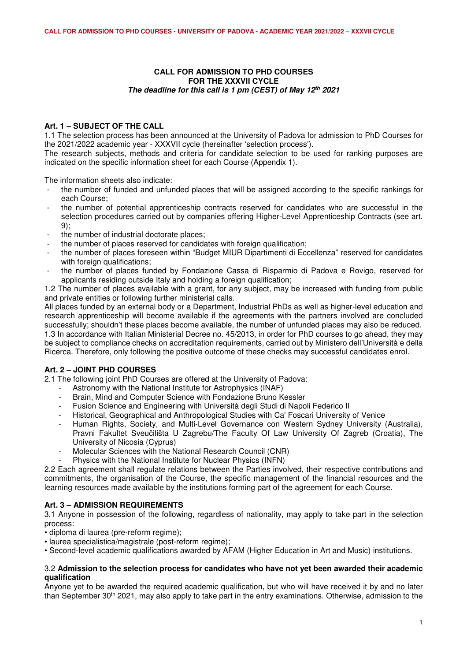## **CALL FOR ADMISSION TO PHD COURSES FOR THE XXXVII CYCLE** *The deadline for this call is 1 pm (CEST) of May 12th 2021*

# **Art. 1 – SUBJECT OF THE CALL**

1.1 The selection process has been announced at the University of Padova for admission to PhD Courses for the 2021/2022 academic year - XXXVII cycle (hereinafter 'selection process').

The research subjects, methods and criteria for candidate selection to be used for ranking purposes are indicated on the specific information sheet for each Course (Appendix 1).

The information sheets also indicate:

- the number of funded and unfunded places that will be assigned according to the specific rankings for each Course;
- the number of potential apprenticeship contracts reserved for candidates who are successful in the selection procedures carried out by companies offering Higher-Level Apprenticeship Contracts (see art. 9);
- the number of industrial doctorate places;
- the number of places reserved for candidates with foreign qualification;
- the number of places foreseen within "Budget MIUR Dipartimenti di Eccellenza" reserved for candidates with foreign qualifications:
- the number of places funded by Fondazione Cassa di Risparmio di Padova e Rovigo, reserved for applicants residing outside Italy and holding a foreign qualification;

1.2 The number of places available with a grant, for any subject, may be increased with funding from public and private entities or following further ministerial calls.

All places funded by an external body or a Department, Industrial PhDs as well as higher-level education and research apprenticeship will become available if the agreements with the partners involved are concluded successfully; shouldn't these places become available, the number of unfunded places may also be reduced. 1.3 In accordance with Italian Ministerial Decree no. 45/2013, in order for PhD courses to go ahead, they may be subject to compliance checks on accreditation requirements, carried out by Ministero dell'Università e della Ricerca. Therefore, only following the positive outcome of these checks may successful candidates enrol.

# **Art. 2 – JOINT PHD COURSES**

2.1 The following joint PhD Courses are offered at the University of Padova:

- Astronomy with the National Institute for Astrophysics (INAF)
- Brain, Mind and Computer Science with Fondazione Bruno Kessler
- Fusion Science and Engineering with Università degli Studi di Napoli Federico II
- Historical, Geographical and Anthropological Studies with Ca' Foscari University of Venice
- Human Rights, Society, and Multi-Level Governance con Western Sydney University (Australia), Pravni Fakultet Sveučilišta U Zagrebu/The Faculty Of Law University Of Zagreb (Croatia), The University of Nicosia (Cyprus)
- Molecular Sciences with the National Research Council (CNR)
- Physics with the National Institute for Nuclear Physics (INFN)

2.2 Each agreement shall regulate relations between the Parties involved, their respective contributions and commitments, the organisation of the Course, the specific management of the financial resources and the learning resources made available by the institutions forming part of the agreement for each Course.

# **Art. 3 – ADMISSION REQUIREMENTS**

3.1 Anyone in possession of the following, regardless of nationality, may apply to take part in the selection process:

- diploma di laurea (pre-reform regime);
- laurea specialistica/magistrale (post-reform regime);

• Second-level academic qualifications awarded by AFAM (Higher Education in Art and Music) institutions.

#### 3.2 **Admission to the selection process for candidates who have not yet been awarded their academic qualification**

Anyone yet to be awarded the required academic qualification, but who will have received it by and no later than September 30th 2021, may also apply to take part in the entry examinations. Otherwise, admission to the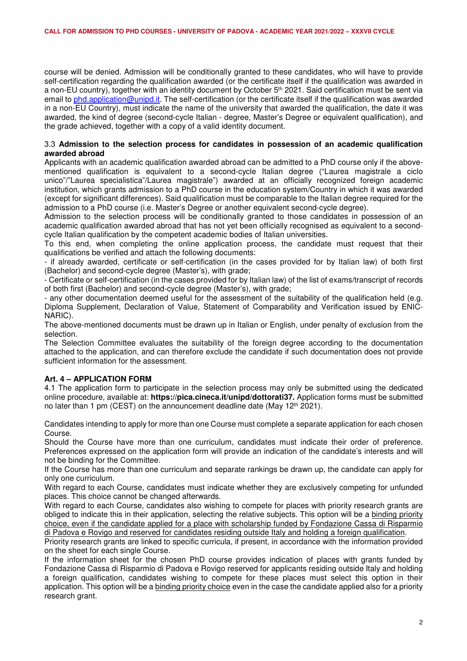course will be denied. Admission will be conditionally granted to these candidates, who will have to provide self-certification regarding the qualification awarded (or the certificate itself if the qualification was awarded in a non-EU country), together with an identity document by October 5<sup>th</sup> 2021. Said certification must be sent via email to phd.application@unipd.it. The self-certification (or the certificate itself if the qualification was awarded in a non-EU Country), must indicate the name of the university that awarded the qualification, the date it was awarded, the kind of degree (second-cycle Italian - degree, Master's Degree or equivalent qualification), and the grade achieved, together with a copy of a valid identity document.

## 3.3 **Admission to the selection process for candidates in possession of an academic qualification awarded abroad**

Applicants with an academic qualification awarded abroad can be admitted to a PhD course only if the abovementioned qualification is equivalent to a second-cycle Italian degree ("Laurea magistrale a ciclo unico"/"Laurea specialistica"/Laurea magistrale") awarded at an officially recognized foreign academic institution, which grants admission to a PhD course in the education system/Country in which it was awarded (except for significant differences). Said qualification must be comparable to the Italian degree required for the admission to a PhD course (i.e. Master's Degree or another equivalent second-cycle degree).

Admission to the selection process will be conditionally granted to those candidates in possession of an academic qualification awarded abroad that has not yet been officially recognised as equivalent to a secondcycle Italian qualification by the competent academic bodies of Italian universities.

To this end, when completing the online application process, the candidate must request that their qualifications be verified and attach the following documents:

- if already awarded, certificate or self-certification (in the cases provided for by Italian law) of both first (Bachelor) and second-cycle degree (Master's), with grade;

- Certificate or self-certification (in the cases provided for by Italian law) of the list of exams/transcript of records of both first (Bachelor) and second-cycle degree (Master's), with grade;

- any other documentation deemed useful for the assessment of the suitability of the qualification held (e.g. Diploma Supplement, Declaration of Value, Statement of Comparability and Verification issued by ENIC-NARIC).

The above-mentioned documents must be drawn up in Italian or English, under penalty of exclusion from the selection.

The Selection Committee evaluates the suitability of the foreign degree according to the documentation attached to the application, and can therefore exclude the candidate if such documentation does not provide sufficient information for the assessment.

# **Art. 4 – APPLICATION FORM**

4.1 The application form to participate in the selection process may only be submitted using the dedicated online procedure, available at: **https://pica.cineca.it/unipd/dottorati37.** Application forms must be submitted no later than 1 pm (CEST) on the announcement deadline date (May 12<sup>th</sup> 2021).

Candidates intending to apply for more than one Course must complete a separate application for each chosen Course.

Should the Course have more than one curriculum, candidates must indicate their order of preference. Preferences expressed on the application form will provide an indication of the candidate's interests and will not be binding for the Committee.

If the Course has more than one curriculum and separate rankings be drawn up, the candidate can apply for only one curriculum.

With regard to each Course, candidates must indicate whether they are exclusively competing for unfunded places. This choice cannot be changed afterwards.

With regard to each Course, candidates also wishing to compete for places with priority research grants are obliged to indicate this in their application, selecting the relative subjects. This option will be a binding priority choice, even if the candidate applied for a place with scholarship funded by Fondazione Cassa di Risparmio di Padova e Rovigo and reserved for candidates residing outside Italy and holding a foreign qualification.

Priority research grants are linked to specific curricula, if present, in accordance with the information provided on the sheet for each single Course.

If the information sheet for the chosen PhD course provides indication of places with grants funded by Fondazione Cassa di Risparmio di Padova e Rovigo reserved for applicants residing outside Italy and holding a foreign qualification, candidates wishing to compete for these places must select this option in their application. This option will be a binding priority choice even in the case the candidate applied also for a priority research grant.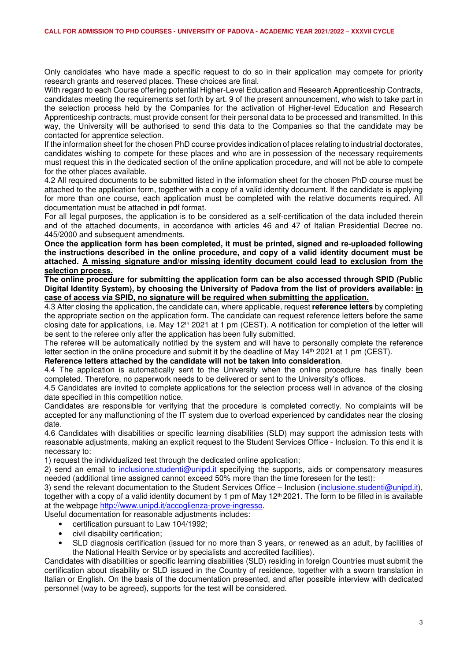Only candidates who have made a specific request to do so in their application may compete for priority research grants and reserved places. These choices are final.

With regard to each Course offering potential Higher-Level Education and Research Apprenticeship Contracts, candidates meeting the requirements set forth by art. 9 of the present announcement, who wish to take part in the selection process held by the Companies for the activation of Higher-level Education and Research Apprenticeship contracts, must provide consent for their personal data to be processed and transmitted. In this way, the University will be authorised to send this data to the Companies so that the candidate may be contacted for apprentice selection.

If the information sheet for the chosen PhD course provides indication of places relating to industrial doctorates, candidates wishing to compete for these places and who are in possession of the necessary requirements must request this in the dedicated section of the online application procedure, and will not be able to compete for the other places available.

4.2 All required documents to be submitted listed in the information sheet for the chosen PhD course must be attached to the application form, together with a copy of a valid identity document. If the candidate is applying for more than one course, each application must be completed with the relative documents required. All documentation must be attached in pdf format.

For all legal purposes, the application is to be considered as a self-certification of the data included therein and of the attached documents, in accordance with articles 46 and 47 of Italian Presidential Decree no. 445/2000 and subsequent amendments.

**Once the application form has been completed, it must be printed, signed and re-uploaded following the instructions described in the online procedure, and copy of a valid identity document must be attached. A missing signature and/or missing identity document could lead to exclusion from the selection process.** 

**The online procedure for submitting the application form can be also accessed through SPID (Public Digital Identity System), by choosing the University of Padova from the list of providers available: in case of access via SPID, no signature will be required when submitting the application.** 

4.3 After closing the application, the candidate can, where applicable, request **reference letters** by completing the appropriate section on the application form. The candidate can request reference letters before the same closing date for applications, i.e. May 12th 2021 at 1 pm (CEST). A notification for completion of the letter will be sent to the referee only after the application has been fully submitted.

The referee will be automatically notified by the system and will have to personally complete the reference letter section in the online procedure and submit it by the deadline of May 14<sup>th</sup> 2021 at 1 pm (CEST).

#### **Reference letters attached by the candidate will not be taken into consideration**.

4.4 The application is automatically sent to the University when the online procedure has finally been completed. Therefore, no paperwork needs to be delivered or sent to the University's offices.

4.5 Candidates are invited to complete applications for the selection process well in advance of the closing date specified in this competition notice.

Candidates are responsible for verifying that the procedure is completed correctly. No complaints will be accepted for any malfunctioning of the IT system due to overload experienced by candidates near the closing date.

4.6 Candidates with disabilities or specific learning disabilities (SLD) may support the admission tests with reasonable adjustments, making an explicit request to the Student Services Office - Inclusion. To this end it is necessary to:

1) request the individualized test through the dedicated online application;

2) send an email to inclusione.studenti@unipd.it specifying the supports, aids or compensatory measures needed (additional time assigned cannot exceed 50% more than the time foreseen for the test):

3) send the relevant documentation to the Student Services Office – Inclusion (inclusione.studenti@unipd.it), together with a copy of a valid identity document by 1 pm of May 12<sup>th</sup> 2021. The form to be filled in is available at the webpage http://www.unipd.it/accoglienza-prove-ingresso.

Useful documentation for reasonable adjustments includes:

- certification pursuant to Law 104/1992;
- civil disability certification;
- SLD diagnosis certification (issued for no more than 3 years, or renewed as an adult, by facilities of the National Health Service or by specialists and accredited facilities).

Candidates with disabilities or specific learning disabilities (SLD) residing in foreign Countries must submit the certification about disability or SLD issued in the Country of residence, together with a sworn translation in Italian or English. On the basis of the documentation presented, and after possible interview with dedicated personnel (way to be agreed), supports for the test will be considered.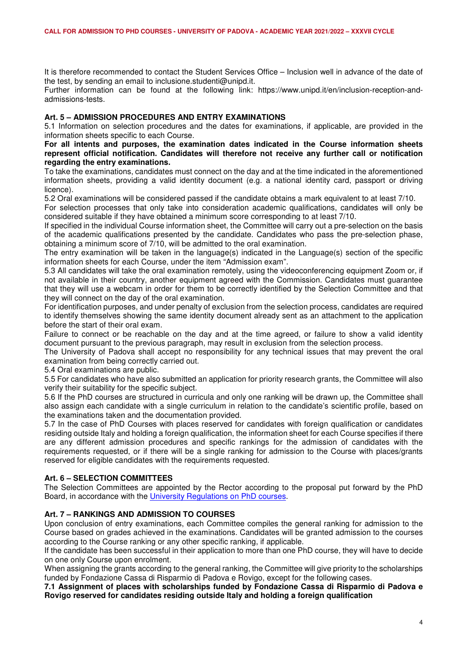It is therefore recommended to contact the Student Services Office – Inclusion well in advance of the date of the test, by sending an email to inclusione.studenti@unipd.it.

Further information can be found at the following link: https://www.unipd.it/en/inclusion-reception-andadmissions-tests.

#### **Art. 5 – ADMISSION PROCEDURES AND ENTRY EXAMINATIONS**

5.1 Information on selection procedures and the dates for examinations, if applicable, are provided in the information sheets specific to each Course.

#### **For all intents and purposes, the examination dates indicated in the Course information sheets represent official notification. Candidates will therefore not receive any further call or notification regarding the entry examinations.**

To take the examinations, candidates must connect on the day and at the time indicated in the aforementioned information sheets, providing a valid identity document (e.g. a national identity card, passport or driving licence).

5.2 Oral examinations will be considered passed if the candidate obtains a mark equivalent to at least 7/10.

For selection processes that only take into consideration academic qualifications, candidates will only be considered suitable if they have obtained a minimum score corresponding to at least 7/10.

If specified in the individual Course information sheet, the Committee will carry out a pre-selection on the basis of the academic qualifications presented by the candidate. Candidates who pass the pre-selection phase, obtaining a minimum score of 7/10, will be admitted to the oral examination.

The entry examination will be taken in the language(s) indicated in the Language(s) section of the specific information sheets for each Course, under the item "Admission exam".

5.3 All candidates will take the oral examination remotely, using the videoconferencing equipment Zoom or, if not available in their country, another equipment agreed with the Commission. Candidates must guarantee that they will use a webcam in order for them to be correctly identified by the Selection Committee and that they will connect on the day of the oral examination.

For identification purposes, and under penalty of exclusion from the selection process, candidates are required to identify themselves showing the same identity document already sent as an attachment to the application before the start of their oral exam.

Failure to connect or be reachable on the day and at the time agreed, or failure to show a valid identity document pursuant to the previous paragraph, may result in exclusion from the selection process.

The University of Padova shall accept no responsibility for any technical issues that may prevent the oral examination from being correctly carried out.

5.4 Oral examinations are public.

5.5 For candidates who have also submitted an application for priority research grants, the Committee will also verify their suitability for the specific subject.

5.6 If the PhD courses are structured in curricula and only one ranking will be drawn up, the Committee shall also assign each candidate with a single curriculum in relation to the candidate's scientific profile, based on the examinations taken and the documentation provided.

5.7 In the case of PhD Courses with places reserved for candidates with foreign qualification or candidates residing outside Italy and holding a foreign qualification, the information sheet for each Course specifies if there are any different admission procedures and specific rankings for the admission of candidates with the requirements requested, or if there will be a single ranking for admission to the Course with places/grants reserved for eligible candidates with the requirements requested.

# **Art. 6 – SELECTION COMMITTEES**

The Selection Committees are appointed by the Rector according to the proposal put forward by the PhD Board, in accordance with the University Regulations on PhD courses.

# **Art. 7 – RANKINGS AND ADMISSION TO COURSES**

Upon conclusion of entry examinations, each Committee compiles the general ranking for admission to the Course based on grades achieved in the examinations. Candidates will be granted admission to the courses according to the Course ranking or any other specific ranking, if applicable.

If the candidate has been successful in their application to more than one PhD course, they will have to decide on one only Course upon enrolment.

When assigning the grants according to the general ranking, the Committee will give priority to the scholarships funded by Fondazione Cassa di Risparmio di Padova e Rovigo, except for the following cases.

**7.1 Assignment of places with scholarships funded by Fondazione Cassa di Risparmio di Padova e Rovigo reserved for candidates residing outside Italy and holding a foreign qualification**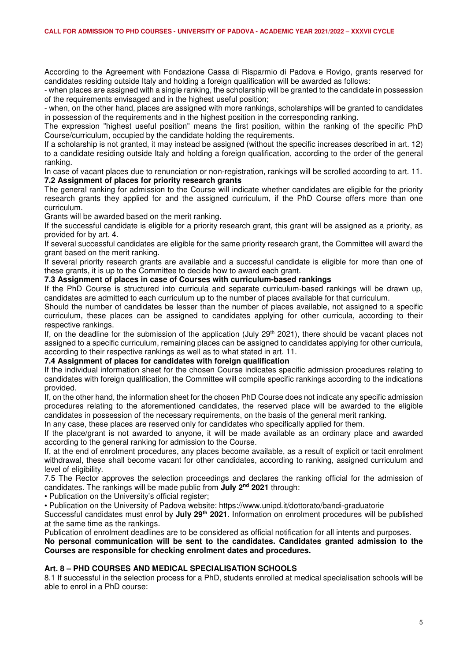According to the Agreement with Fondazione Cassa di Risparmio di Padova e Rovigo, grants reserved for candidates residing outside Italy and holding a foreign qualification will be awarded as follows:

- when places are assigned with a single ranking, the scholarship will be granted to the candidate in possession of the requirements envisaged and in the highest useful position;

- when, on the other hand, places are assigned with more rankings, scholarships will be granted to candidates in possession of the requirements and in the highest position in the corresponding ranking.

The expression "highest useful position" means the first position, within the ranking of the specific PhD Course/curriculum, occupied by the candidate holding the requirements.

If a scholarship is not granted, it may instead be assigned (without the specific increases described in art. 12) to a candidate residing outside Italy and holding a foreign qualification, according to the order of the general ranking.

In case of vacant places due to renunciation or non-registration, rankings will be scrolled according to art. 11. **7.2 Assignment of places for priority research grants** 

The general ranking for admission to the Course will indicate whether candidates are eligible for the priority research grants they applied for and the assigned curriculum, if the PhD Course offers more than one curriculum.

Grants will be awarded based on the merit ranking.

If the successful candidate is eligible for a priority research grant, this grant will be assigned as a priority, as provided for by art. 4.

If several successful candidates are eligible for the same priority research grant, the Committee will award the grant based on the merit ranking.

If several priority research grants are available and a successful candidate is eligible for more than one of these grants, it is up to the Committee to decide how to award each grant.

## **7.3 Assignment of places in case of Courses with curriculum-based rankings**

If the PhD Course is structured into curricula and separate curriculum-based rankings will be drawn up, candidates are admitted to each curriculum up to the number of places available for that curriculum.

Should the number of candidates be lesser than the number of places available, not assigned to a specific curriculum, these places can be assigned to candidates applying for other curricula, according to their respective rankings.

If, on the deadline for the submission of the application (July 29<sup>th</sup> 2021), there should be vacant places not assigned to a specific curriculum, remaining places can be assigned to candidates applying for other curricula, according to their respective rankings as well as to what stated in art. 11.

#### **7.4 Assignment of places for candidates with foreign qualification**

If the individual information sheet for the chosen Course indicates specific admission procedures relating to candidates with foreign qualification, the Committee will compile specific rankings according to the indications provided.

If, on the other hand, the information sheet for the chosen PhD Course does not indicate any specific admission procedures relating to the aforementioned candidates, the reserved place will be awarded to the eligible candidates in possession of the necessary requirements, on the basis of the general merit ranking.

In any case, these places are reserved only for candidates who specifically applied for them.

If the place/grant is not awarded to anyone, it will be made available as an ordinary place and awarded according to the general ranking for admission to the Course.

If, at the end of enrolment procedures, any places become available, as a result of explicit or tacit enrolment withdrawal, these shall become vacant for other candidates, according to ranking, assigned curriculum and level of eligibility.

7.5 The Rector approves the selection proceedings and declares the ranking official for the admission of candidates. The rankings will be made public from **July 2nd 2021** through:

• Publication on the University's official register;

• Publication on the University of Padova website: https://www.unipd.it/dottorato/bandi-graduatorie

Successful candidates must enrol by **July 29th 2021**. Information on enrolment procedures will be published at the same time as the rankings.

Publication of enrolment deadlines are to be considered as official notification for all intents and purposes.

**No personal communication will be sent to the candidates. Candidates granted admission to the Courses are responsible for checking enrolment dates and procedures.** 

# **Art. 8 – PHD COURSES AND MEDICAL SPECIALISATION SCHOOLS**

8.1 If successful in the selection process for a PhD, students enrolled at medical specialisation schools will be able to enrol in a PhD course: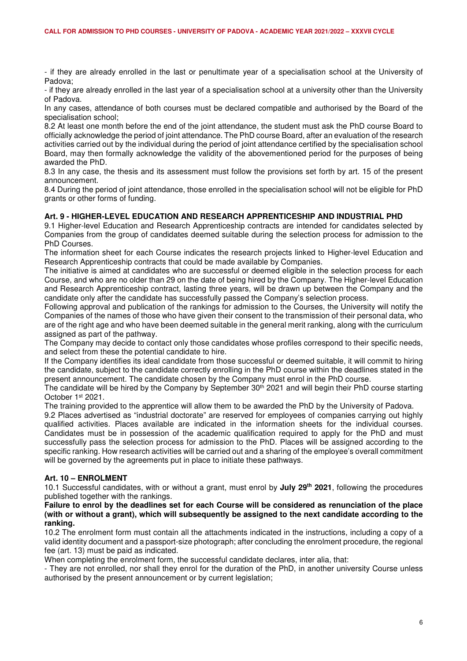- if they are already enrolled in the last or penultimate year of a specialisation school at the University of Padova;

- if they are already enrolled in the last year of a specialisation school at a university other than the University of Padova.

In any cases, attendance of both courses must be declared compatible and authorised by the Board of the specialisation school;

8.2 At least one month before the end of the joint attendance, the student must ask the PhD course Board to officially acknowledge the period of joint attendance. The PhD course Board, after an evaluation of the research activities carried out by the individual during the period of joint attendance certified by the specialisation school Board, may then formally acknowledge the validity of the abovementioned period for the purposes of being awarded the PhD.

8.3 In any case, the thesis and its assessment must follow the provisions set forth by art. 15 of the present announcement.

8.4 During the period of joint attendance, those enrolled in the specialisation school will not be eligible for PhD grants or other forms of funding.

## **Art. 9 - HIGHER-LEVEL EDUCATION AND RESEARCH APPRENTICESHIP AND INDUSTRIAL PHD**

9.1 Higher-level Education and Research Apprenticeship contracts are intended for candidates selected by Companies from the group of candidates deemed suitable during the selection process for admission to the PhD Courses.

The information sheet for each Course indicates the research projects linked to Higher-level Education and Research Apprenticeship contracts that could be made available by Companies.

The initiative is aimed at candidates who are successful or deemed eligible in the selection process for each Course, and who are no older than 29 on the date of being hired by the Company. The Higher-level Education and Research Apprenticeship contract, lasting three years, will be drawn up between the Company and the candidate only after the candidate has successfully passed the Company's selection process.

Following approval and publication of the rankings for admission to the Courses, the University will notify the Companies of the names of those who have given their consent to the transmission of their personal data, who are of the right age and who have been deemed suitable in the general merit ranking, along with the curriculum assigned as part of the pathway.

The Company may decide to contact only those candidates whose profiles correspond to their specific needs, and select from these the potential candidate to hire.

If the Company identifies its ideal candidate from those successful or deemed suitable, it will commit to hiring the candidate, subject to the candidate correctly enrolling in the PhD course within the deadlines stated in the present announcement. The candidate chosen by the Company must enrol in the PhD course.

The candidate will be hired by the Company by September  $30<sup>th</sup>$  2021 and will begin their PhD course starting October 1st 2021.

The training provided to the apprentice will allow them to be awarded the PhD by the University of Padova.

9.2 Places advertised as "industrial doctorate" are reserved for employees of companies carrying out highly qualified activities. Places available are indicated in the information sheets for the individual courses. Candidates must be in possession of the academic qualification required to apply for the PhD and must successfully pass the selection process for admission to the PhD. Places will be assigned according to the specific ranking. How research activities will be carried out and a sharing of the employee's overall commitment will be governed by the agreements put in place to initiate these pathways.

# **Art. 10 – ENROLMENT**

10.1 Successful candidates, with or without a grant, must enrol by **July 29th 2021**, following the procedures published together with the rankings.

**Failure to enrol by the deadlines set for each Course will be considered as renunciation of the place (with or without a grant), which will subsequently be assigned to the next candidate according to the ranking.** 

10.2 The enrolment form must contain all the attachments indicated in the instructions, including a copy of a valid identity document and a passport-size photograph; after concluding the enrolment procedure, the regional fee (art. 13) must be paid as indicated.

When completing the enrolment form, the successful candidate declares, inter alia, that:

- They are not enrolled, nor shall they enrol for the duration of the PhD, in another university Course unless authorised by the present announcement or by current legislation;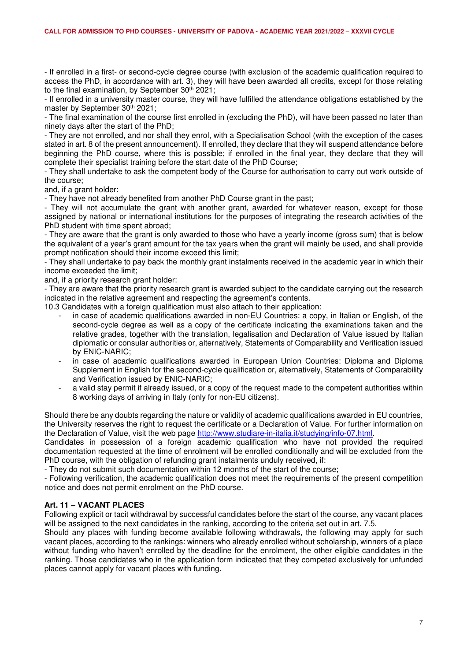- If enrolled in a first- or second-cycle degree course (with exclusion of the academic qualification required to access the PhD, in accordance with art. 3), they will have been awarded all credits, except for those relating to the final examination, by September 30<sup>th</sup> 2021;

- If enrolled in a university master course, they will have fulfilled the attendance obligations established by the master by September 30<sup>th</sup> 2021:

- The final examination of the course first enrolled in (excluding the PhD), will have been passed no later than ninety days after the start of the PhD;

- They are not enrolled, and nor shall they enrol, with a Specialisation School (with the exception of the cases stated in art. 8 of the present announcement). If enrolled, they declare that they will suspend attendance before beginning the PhD course, where this is possible; if enrolled in the final year, they declare that they will complete their specialist training before the start date of the PhD Course;

- They shall undertake to ask the competent body of the Course for authorisation to carry out work outside of the course;

and, if a grant holder:

- They have not already benefited from another PhD Course grant in the past;

- They will not accumulate the grant with another grant, awarded for whatever reason, except for those assigned by national or international institutions for the purposes of integrating the research activities of the PhD student with time spent abroad;

- They are aware that the grant is only awarded to those who have a yearly income (gross sum) that is below the equivalent of a year's grant amount for the tax years when the grant will mainly be used, and shall provide prompt notification should their income exceed this limit;

- They shall undertake to pay back the monthly grant instalments received in the academic year in which their income exceeded the limit;

and, if a priority research grant holder:

- They are aware that the priority research grant is awarded subject to the candidate carrying out the research indicated in the relative agreement and respecting the agreement's contents.

10.3 Candidates with a foreign qualification must also attach to their application:

- in case of academic qualifications awarded in non-EU Countries: a copy, in Italian or English, of the second-cycle degree as well as a copy of the certificate indicating the examinations taken and the relative grades, together with the translation, legalisation and Declaration of Value issued by Italian diplomatic or consular authorities or, alternatively, Statements of Comparability and Verification issued by ENIC-NARIC;
- in case of academic qualifications awarded in European Union Countries: Diploma and Diploma Supplement in English for the second-cycle qualification or, alternatively, Statements of Comparability and Verification issued by ENIC-NARIC;
- a valid stay permit if already issued, or a copy of the request made to the competent authorities within 8 working days of arriving in Italy (only for non-EU citizens).

Should there be any doubts regarding the nature or validity of academic qualifications awarded in EU countries, the University reserves the right to request the certificate or a Declaration of Value. For further information on the Declaration of Value, visit the web page http://www.studiare-in-italia.it/studying/info-07.html.

Candidates in possession of a foreign academic qualification who have not provided the required documentation requested at the time of enrolment will be enrolled conditionally and will be excluded from the PhD course, with the obligation of refunding grant instalments unduly received, if:

- They do not submit such documentation within 12 months of the start of the course;

- Following verification, the academic qualification does not meet the requirements of the present competition notice and does not permit enrolment on the PhD course.

#### **Art. 11 – VACANT PLACES**

Following explicit or tacit withdrawal by successful candidates before the start of the course, any vacant places will be assigned to the next candidates in the ranking, according to the criteria set out in art. 7.5.

Should any places with funding become available following withdrawals, the following may apply for such vacant places, according to the rankings: winners who already enrolled without scholarship, winners of a place without funding who haven't enrolled by the deadline for the enrolment, the other eligible candidates in the ranking. Those candidates who in the application form indicated that they competed exclusively for unfunded places cannot apply for vacant places with funding.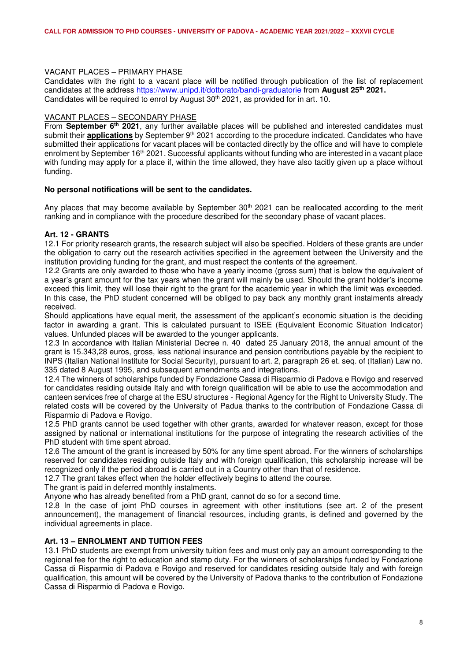## VACANT PLACES – PRIMARY PHASE

Candidates with the right to a vacant place will be notified through publication of the list of replacement candidates at the address https://www.unipd.it/dottorato/bandi-graduatorie from **August 25th 2021.**  Candidates will be required to enrol by August 30<sup>th</sup> 2021, as provided for in art. 10.

## VACANT PLACES – SECONDARY PHASE

From **September 6th 2021**, any further available places will be published and interested candidates must submit their **applications** by September 9<sup>th</sup> 2021 according to the procedure indicated. Candidates who have submitted their applications for vacant places will be contacted directly by the office and will have to complete enrolment by September 16<sup>th</sup> 2021. Successful applicants without funding who are interested in a vacant place with funding may apply for a place if, within the time allowed, they have also tacitly given up a place without funding.

#### **No personal notifications will be sent to the candidates.**

Any places that may become available by September 30<sup>th</sup> 2021 can be reallocated according to the merit ranking and in compliance with the procedure described for the secondary phase of vacant places.

# **Art. 12 - GRANTS**

12.1 For priority research grants, the research subject will also be specified. Holders of these grants are under the obligation to carry out the research activities specified in the agreement between the University and the institution providing funding for the grant, and must respect the contents of the agreement.

12.2 Grants are only awarded to those who have a yearly income (gross sum) that is below the equivalent of a year's grant amount for the tax years when the grant will mainly be used. Should the grant holder's income exceed this limit, they will lose their right to the grant for the academic year in which the limit was exceeded. In this case, the PhD student concerned will be obliged to pay back any monthly grant instalments already received.

Should applications have equal merit, the assessment of the applicant's economic situation is the deciding factor in awarding a grant. This is calculated pursuant to ISEE (Equivalent Economic Situation Indicator) values. Unfunded places will be awarded to the younger applicants.

12.3 In accordance with Italian Ministerial Decree n. 40 dated 25 January 2018, the annual amount of the grant is 15.343,28 euros, gross, less national insurance and pension contributions payable by the recipient to INPS (Italian National Institute for Social Security), pursuant to art. 2, paragraph 26 et. seq. of (Italian) Law no. 335 dated 8 August 1995, and subsequent amendments and integrations.

12.4 The winners of scholarships funded by Fondazione Cassa di Risparmio di Padova e Rovigo and reserved for candidates residing outside Italy and with foreign qualification will be able to use the accommodation and canteen services free of charge at the ESU structures - Regional Agency for the Right to University Study. The related costs will be covered by the University of Padua thanks to the contribution of Fondazione Cassa di Risparmio di Padova e Rovigo.

12.5 PhD grants cannot be used together with other grants, awarded for whatever reason, except for those assigned by national or international institutions for the purpose of integrating the research activities of the PhD student with time spent abroad.

12.6 The amount of the grant is increased by 50% for any time spent abroad. For the winners of scholarships reserved for candidates residing outside Italy and with foreign qualification, this scholarship increase will be recognized only if the period abroad is carried out in a Country other than that of residence.

12.7 The grant takes effect when the holder effectively begins to attend the course.

The grant is paid in deferred monthly instalments.

Anyone who has already benefited from a PhD grant, cannot do so for a second time.

12.8 In the case of joint PhD courses in agreement with other institutions (see art. 2 of the present announcement), the management of financial resources, including grants, is defined and governed by the individual agreements in place.

# **Art. 13 – ENROLMENT AND TUITION FEES**

13.1 PhD students are exempt from university tuition fees and must only pay an amount corresponding to the regional fee for the right to education and stamp duty. For the winners of scholarships funded by Fondazione Cassa di Risparmio di Padova e Rovigo and reserved for candidates residing outside Italy and with foreign qualification, this amount will be covered by the University of Padova thanks to the contribution of Fondazione Cassa di Risparmio di Padova e Rovigo.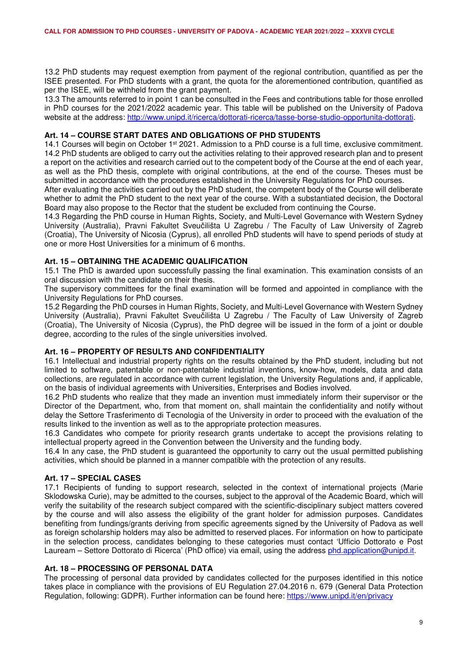13.2 PhD students may request exemption from payment of the regional contribution, quantified as per the ISEE presented. For PhD students with a grant, the quota for the aforementioned contribution, quantified as per the ISEE, will be withheld from the grant payment.

13.3 The amounts referred to in point 1 can be consulted in the Fees and contributions table for those enrolled in PhD courses for the 2021/2022 academic year. This table will be published on the University of Padova website at the address: http://www.unipd.it/ricerca/dottorati-ricerca/tasse-borse-studio-opportunita-dottorati.

## **Art. 14 – COURSE START DATES AND OBLIGATIONS OF PHD STUDENTS**

14.1 Courses will begin on October 1<sup>st</sup> 2021. Admission to a PhD course is a full time, exclusive commitment. 14.2 PhD students are obliged to carry out the activities relating to their approved research plan and to present a report on the activities and research carried out to the competent body of the Course at the end of each year, as well as the PhD thesis, complete with original contributions, at the end of the course. Theses must be submitted in accordance with the procedures established in the University Regulations for PhD courses.

After evaluating the activities carried out by the PhD student, the competent body of the Course will deliberate whether to admit the PhD student to the next year of the course. With a substantiated decision, the Doctoral Board may also propose to the Rector that the student be excluded from continuing the Course.

14.3 Regarding the PhD course in Human Rights, Society, and Multi-Level Governance with Western Sydney University (Australia), Pravni Fakultet Sveučilišta U Zagrebu / The Faculty of Law University of Zagreb (Croatia), The University of Nicosia (Cyprus), all enrolled PhD students will have to spend periods of study at one or more Host Universities for a minimum of 6 months.

## **Art. 15 – OBTAINING THE ACADEMIC QUALIFICATION**

15.1 The PhD is awarded upon successfully passing the final examination. This examination consists of an oral discussion with the candidate on their thesis.

The supervisory committees for the final examination will be formed and appointed in compliance with the University Regulations for PhD courses.

15.2 Regarding the PhD courses in Human Rights, Society, and Multi-Level Governance with Western Sydney University (Australia), Pravni Fakultet Sveučilišta U Zagrebu / The Faculty of Law University of Zagreb (Croatia), The University of Nicosia (Cyprus), the PhD degree will be issued in the form of a joint or double degree, according to the rules of the single universities involved.

## **Art. 16 – PROPERTY OF RESULTS AND CONFIDENTIALITY**

16.1 Intellectual and industrial property rights on the results obtained by the PhD student, including but not limited to software, patentable or non-patentable industrial inventions, know-how, models, data and data collections, are regulated in accordance with current legislation, the University Regulations and, if applicable, on the basis of individual agreements with Universities, Enterprises and Bodies involved.

16.2 PhD students who realize that they made an invention must immediately inform their supervisor or the Director of the Department, who, from that moment on, shall maintain the confidentiality and notify without delay the Settore Trasferimento di Tecnologia of the University in order to proceed with the evaluation of the results linked to the invention as well as to the appropriate protection measures.

16.3 Candidates who compete for priority research grants undertake to accept the provisions relating to intellectual property agreed in the Convention between the University and the funding body.

16.4 In any case, the PhD student is guaranteed the opportunity to carry out the usual permitted publishing activities, which should be planned in a manner compatible with the protection of any results.

#### **Art. 17 – SPECIAL CASES**

17.1 Recipients of funding to support research, selected in the context of international projects (Marie Sklodowska Curie), may be admitted to the courses, subject to the approval of the Academic Board, which will verify the suitability of the research subject compared with the scientific-disciplinary subject matters covered by the course and will also assess the eligibility of the grant holder for admission purposes. Candidates benefiting from fundings/grants deriving from specific agreements signed by the University of Padova as well as foreign scholarship holders may also be admitted to reserved places. For information on how to participate in the selection process, candidates belonging to these categories must contact 'Ufficio Dottorato e Post Lauream – Settore Dottorato di Ricerca' (PhD office) via email, using the address phd.application@unipd.it.

#### **Art. 18 – PROCESSING OF PERSONAL DATA**

The processing of personal data provided by candidates collected for the purposes identified in this notice takes place in compliance with the provisions of EU Regulation 27.04.2016 n. 679 (General Data Protection Regulation, following: GDPR). Further information can be found here: https://www.unipd.it/en/privacy